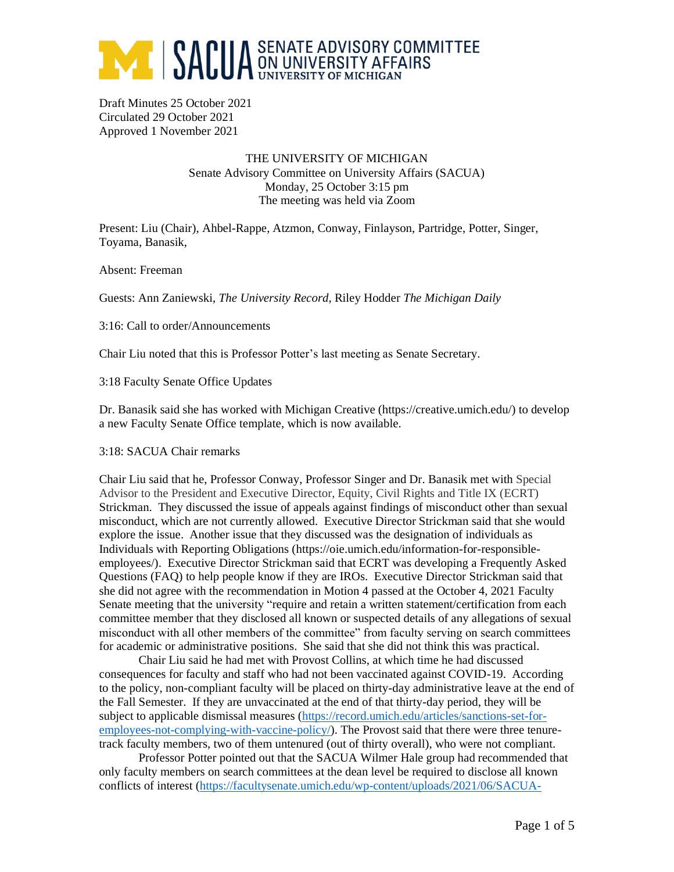

Draft Minutes 25 October 2021 Circulated 29 October 2021 Approved 1 November 2021

### THE UNIVERSITY OF MICHIGAN Senate Advisory Committee on University Affairs (SACUA) Monday, 25 October 3:15 pm The meeting was held via Zoom

Present: Liu (Chair), Ahbel-Rappe, Atzmon, Conway, Finlayson, Partridge, Potter, Singer, Toyama, Banasik,

Absent: Freeman

Guests: Ann Zaniewski, *The University Record*, Riley Hodder *The Michigan Daily*

3:16: Call to order/Announcements

Chair Liu noted that this is Professor Potter's last meeting as Senate Secretary.

3:18 Faculty Senate Office Updates

Dr. Banasik said she has worked with Michigan Creative (https://creative.umich.edu/) to develop a new Faculty Senate Office template, which is now available.

3:18: SACUA Chair remarks

Chair Liu said that he, Professor Conway, Professor Singer and Dr. Banasik met with Special Advisor to the President and Executive Director, Equity, Civil Rights and Title IX (ECRT) Strickman. They discussed the issue of appeals against findings of misconduct other than sexual misconduct, which are not currently allowed. Executive Director Strickman said that she would explore the issue. Another issue that they discussed was the designation of individuals as Individuals with Reporting Obligations (https://oie.umich.edu/information-for-responsibleemployees/). Executive Director Strickman said that ECRT was developing a Frequently Asked Questions (FAQ) to help people know if they are IROs. Executive Director Strickman said that she did not agree with the recommendation in Motion 4 passed at the October 4, 2021 Faculty Senate meeting that the university "require and retain a written statement/certification from each committee member that they disclosed all known or suspected details of any allegations of sexual misconduct with all other members of the committee" from faculty serving on search committees for academic or administrative positions. She said that she did not think this was practical.

Chair Liu said he had met with Provost Collins, at which time he had discussed consequences for faculty and staff who had not been vaccinated against COVID-19. According to the policy, non-compliant faculty will be placed on thirty-day administrative leave at the end of the Fall Semester. If they are unvaccinated at the end of that thirty-day period, they will be subject to applicable dismissal measures [\(https://record.umich.edu/articles/sanctions-set-for](https://record.umich.edu/articles/sanctions-set-for-employees-not-complying-with-vaccine-policy/)[employees-not-complying-with-vaccine-policy/\)](https://record.umich.edu/articles/sanctions-set-for-employees-not-complying-with-vaccine-policy/). The Provost said that there were three tenuretrack faculty members, two of them untenured (out of thirty overall), who were not compliant.

Professor Potter pointed out that the SACUA Wilmer Hale group had recommended that only faculty members on search committees at the dean level be required to disclose all known conflicts of interest [\(https://facultysenate.umich.edu/wp-content/uploads/2021/06/SACUA-](https://facultysenate.umich.edu/wp-content/uploads/2021/06/SACUA-WilmerHale-Task-Force-Final-Report.pdf)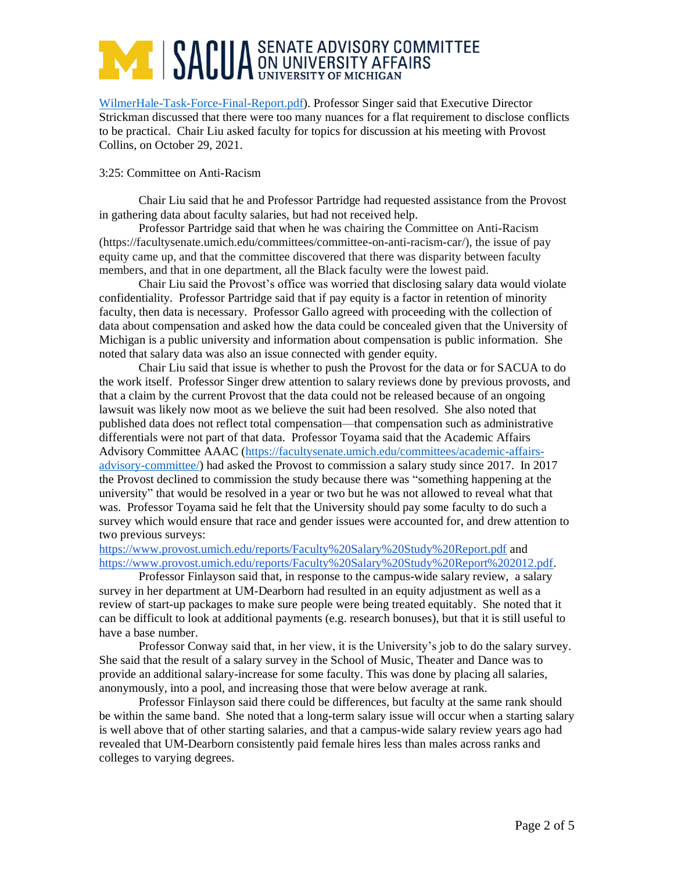# **ANDELLA SENATE ADVISORY COMMITTEE SENATE ADVISORY COMMITTEE**

[WilmerHale-Task-Force-Final-Report.pdf\)](https://facultysenate.umich.edu/wp-content/uploads/2021/06/SACUA-WilmerHale-Task-Force-Final-Report.pdf). Professor Singer said that Executive Director Strickman discussed that there were too many nuances for a flat requirement to disclose conflicts to be practical. Chair Liu asked faculty for topics for discussion at his meeting with Provost Collins, on October 29, 2021.

### 3:25: Committee on Anti-Racism

Chair Liu said that he and Professor Partridge had requested assistance from the Provost in gathering data about faculty salaries, but had not received help.

Professor Partridge said that when he was chairing the Committee on Anti-Racism (https://facultysenate.umich.edu/committees/committee-on-anti-racism-car/), the issue of pay equity came up, and that the committee discovered that there was disparity between faculty members, and that in one department, all the Black faculty were the lowest paid.

Chair Liu said the Provost's office was worried that disclosing salary data would violate confidentiality. Professor Partridge said that if pay equity is a factor in retention of minority faculty, then data is necessary. Professor Gallo agreed with proceeding with the collection of data about compensation and asked how the data could be concealed given that the University of Michigan is a public university and information about compensation is public information. She noted that salary data was also an issue connected with gender equity.

Chair Liu said that issue is whether to push the Provost for the data or for SACUA to do the work itself. Professor Singer drew attention to salary reviews done by previous provosts, and that a claim by the current Provost that the data could not be released because of an ongoing lawsuit was likely now moot as we believe the suit had been resolved. She also noted that published data does not reflect total compensation—that compensation such as administrative differentials were not part of that data. Professor Toyama said that the Academic Affairs Advisory Committee AAAC [\(https://facultysenate.umich.edu/committees/academic-affairs](https://facultysenate.umich.edu/committees/academic-affairs-advisory-committee/)[advisory-committee/\)](https://facultysenate.umich.edu/committees/academic-affairs-advisory-committee/) had asked the Provost to commission a salary study since 2017. In 2017 the Provost declined to commission the study because there was "something happening at the university" that would be resolved in a year or two but he was not allowed to reveal what that was. Professor Toyama said he felt that the University should pay some faculty to do such a survey which would ensure that race and gender issues were accounted for, and drew attention to two previous surveys:

<https://www.provost.umich.edu/reports/Faculty%20Salary%20Study%20Report.pdf> and [https://www.provost.umich.edu/reports/Faculty%20Salary%20Study%20Report%202012.pdf.](https://www.provost.umich.edu/reports/Faculty%20Salary%20Study%20Report%202012.pdf)

Professor Finlayson said that, in response to the campus-wide salary review, a salary survey in her department at UM-Dearborn had resulted in an equity adjustment as well as a review of start-up packages to make sure people were being treated equitably. She noted that it can be difficult to look at additional payments (e.g. research bonuses), but that it is still useful to have a base number.

Professor Conway said that, in her view, it is the University's job to do the salary survey. She said that the result of a salary survey in the School of Music, Theater and Dance was to provide an additional salary-increase for some faculty. This was done by placing all salaries, anonymously, into a pool, and increasing those that were below average at rank.

Professor Finlayson said there could be differences, but faculty at the same rank should be within the same band. She noted that a long-term salary issue will occur when a starting salary is well above that of other starting salaries, and that a campus-wide salary review years ago had revealed that UM-Dearborn consistently paid female hires less than males across ranks and colleges to varying degrees.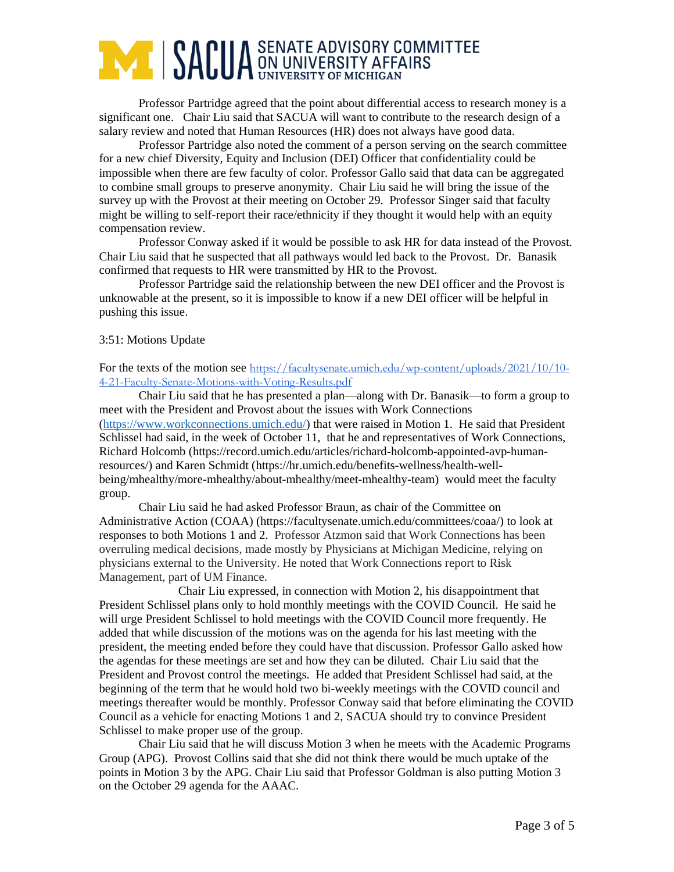### **ANDUA** SENATE ADVISORY COMMITTEE

Professor Partridge agreed that the point about differential access to research money is a significant one. Chair Liu said that SACUA will want to contribute to the research design of a salary review and noted that Human Resources (HR) does not always have good data.

Professor Partridge also noted the comment of a person serving on the search committee for a new chief Diversity, Equity and Inclusion (DEI) Officer that confidentiality could be impossible when there are few faculty of color. Professor Gallo said that data can be aggregated to combine small groups to preserve anonymity. Chair Liu said he will bring the issue of the survey up with the Provost at their meeting on October 29. Professor Singer said that faculty might be willing to self-report their race/ethnicity if they thought it would help with an equity compensation review.

Professor Conway asked if it would be possible to ask HR for data instead of the Provost. Chair Liu said that he suspected that all pathways would led back to the Provost. Dr. Banasik confirmed that requests to HR were transmitted by HR to the Provost.

Professor Partridge said the relationship between the new DEI officer and the Provost is unknowable at the present, so it is impossible to know if a new DEI officer will be helpful in pushing this issue.

#### 3:51: Motions Update

For the texts of the motion see [https://facultysenate.umich.edu/wp-content/uploads/2021/10/10-](https://facultysenate.umich.edu/wp-content/uploads/2021/10/10-4-21-Faculty-Senate-Motions-with-Voting-Results.pdf) [4-21-Faculty-Senate-Motions-with-Voting-Results.pdf](https://facultysenate.umich.edu/wp-content/uploads/2021/10/10-4-21-Faculty-Senate-Motions-with-Voting-Results.pdf)

Chair Liu said that he has presented a plan—along with Dr. Banasik—to form a group to meet with the President and Provost about the issues with Work Connections [\(https://www.workconnections.umich.edu/\)](https://www.workconnections.umich.edu/) that were raised in Motion 1. He said that President Schlissel had said, in the week of October 11, that he and representatives of Work Connections, Richard Holcomb (https://record.umich.edu/articles/richard-holcomb-appointed-avp-humanresources/) and Karen Schmidt (https://hr.umich.edu/benefits-wellness/health-wellbeing/mhealthy/more-mhealthy/about-mhealthy/meet-mhealthy-team) would meet the faculty group.

Chair Liu said he had asked Professor Braun, as chair of the Committee on Administrative Action (COAA) (https://facultysenate.umich.edu/committees/coaa/) to look at responses to both Motions 1 and 2. Professor Atzmon said that Work Connections has been overruling medical decisions, made mostly by Physicians at Michigan Medicine, relying on physicians external to the University. He noted that Work Connections report to Risk Management, part of UM Finance.

Chair Liu expressed, in connection with Motion 2, his disappointment that President Schlissel plans only to hold monthly meetings with the COVID Council. He said he will urge President Schlissel to hold meetings with the COVID Council more frequently. He added that while discussion of the motions was on the agenda for his last meeting with the president, the meeting ended before they could have that discussion. Professor Gallo asked how the agendas for these meetings are set and how they can be diluted. Chair Liu said that the President and Provost control the meetings. He added that President Schlissel had said, at the beginning of the term that he would hold two bi-weekly meetings with the COVID council and meetings thereafter would be monthly. Professor Conway said that before eliminating the COVID Council as a vehicle for enacting Motions 1 and 2, SACUA should try to convince President Schlissel to make proper use of the group.

Chair Liu said that he will discuss Motion 3 when he meets with the Academic Programs Group (APG). Provost Collins said that she did not think there would be much uptake of the points in Motion 3 by the APG. Chair Liu said that Professor Goldman is also putting Motion 3 on the October 29 agenda for the AAAC.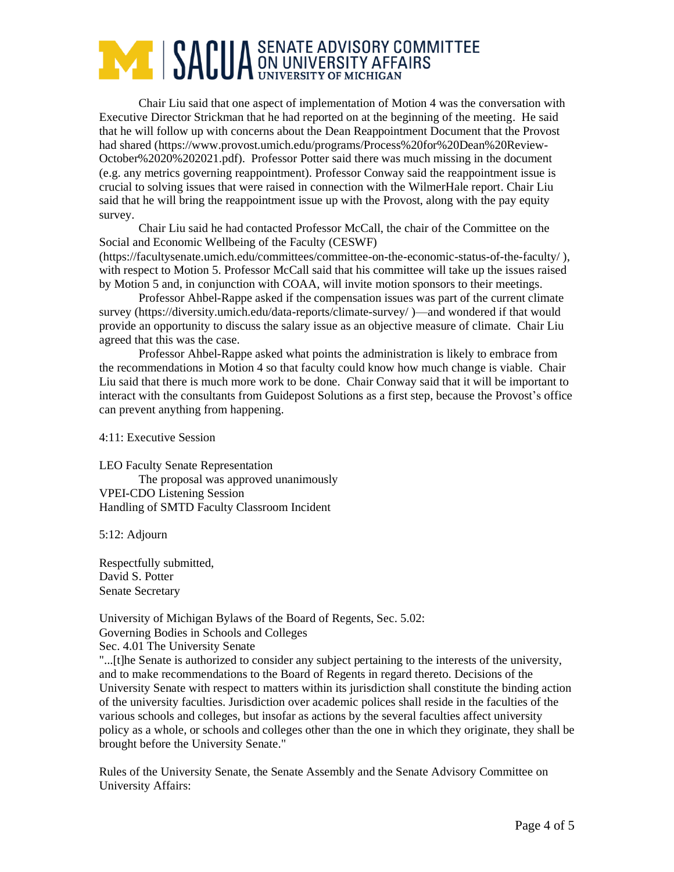## **ANDUA** SENATE ADVISORY COMMITTEE

Chair Liu said that one aspect of implementation of Motion 4 was the conversation with Executive Director Strickman that he had reported on at the beginning of the meeting. He said that he will follow up with concerns about the Dean Reappointment Document that the Provost had shared (https://www.provost.umich.edu/programs/Process%20for%20Dean%20Review-October%2020%202021.pdf). Professor Potter said there was much missing in the document (e.g. any metrics governing reappointment). Professor Conway said the reappointment issue is crucial to solving issues that were raised in connection with the WilmerHale report. Chair Liu said that he will bring the reappointment issue up with the Provost, along with the pay equity survey.

Chair Liu said he had contacted Professor McCall, the chair of the Committee on the Social and Economic Wellbeing of the Faculty (CESWF)

(https://facultysenate.umich.edu/committees/committee-on-the-economic-status-of-the-faculty/ ), with respect to Motion 5. Professor McCall said that his committee will take up the issues raised by Motion 5 and, in conjunction with COAA, will invite motion sponsors to their meetings.

Professor Ahbel-Rappe asked if the compensation issues was part of the current climate survey (https://diversity.umich.edu/data-reports/climate-survey/ )—and wondered if that would provide an opportunity to discuss the salary issue as an objective measure of climate. Chair Liu agreed that this was the case.

Professor Ahbel-Rappe asked what points the administration is likely to embrace from the recommendations in Motion 4 so that faculty could know how much change is viable. Chair Liu said that there is much more work to be done. Chair Conway said that it will be important to interact with the consultants from Guidepost Solutions as a first step, because the Provost's office can prevent anything from happening.

4:11: Executive Session

LEO Faculty Senate Representation

The proposal was approved unanimously VPEI-CDO Listening Session Handling of SMTD Faculty Classroom Incident

5:12: Adjourn

Respectfully submitted, David S. Potter Senate Secretary

University of Michigan Bylaws of the Board of Regents, Sec. 5.02: Governing Bodies in Schools and Colleges

Sec. 4.01 The University Senate

"...[t]he Senate is authorized to consider any subject pertaining to the interests of the university, and to make recommendations to the Board of Regents in regard thereto. Decisions of the University Senate with respect to matters within its jurisdiction shall constitute the binding action of the university faculties. Jurisdiction over academic polices shall reside in the faculties of the various schools and colleges, but insofar as actions by the several faculties affect university policy as a whole, or schools and colleges other than the one in which they originate, they shall be brought before the University Senate."

Rules of the University Senate, the Senate Assembly and the Senate Advisory Committee on University Affairs: